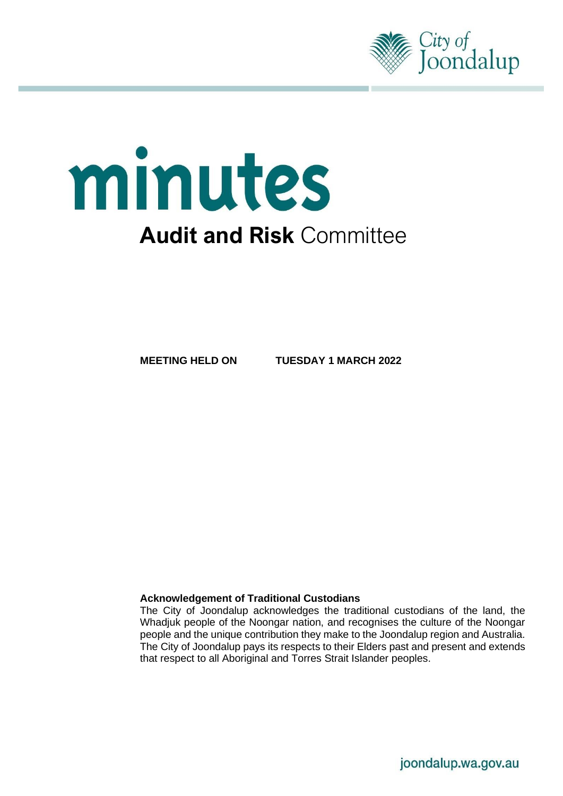

# minutes **Audit and Risk** Committee

**MEETING HELD ON TUESDAY 1 MARCH 2022**

#### **Acknowledgement of Traditional Custodians**

The City of Joondalup acknowledges the traditional custodians of the land, the Whadjuk people of the Noongar nation, and recognises the culture of the Noongar people and the unique contribution they make to the Joondalup region and Australia. The City of Joondalup pays its respects to their Elders past and present and extends that respect to all Aboriginal and Torres Strait Islander peoples.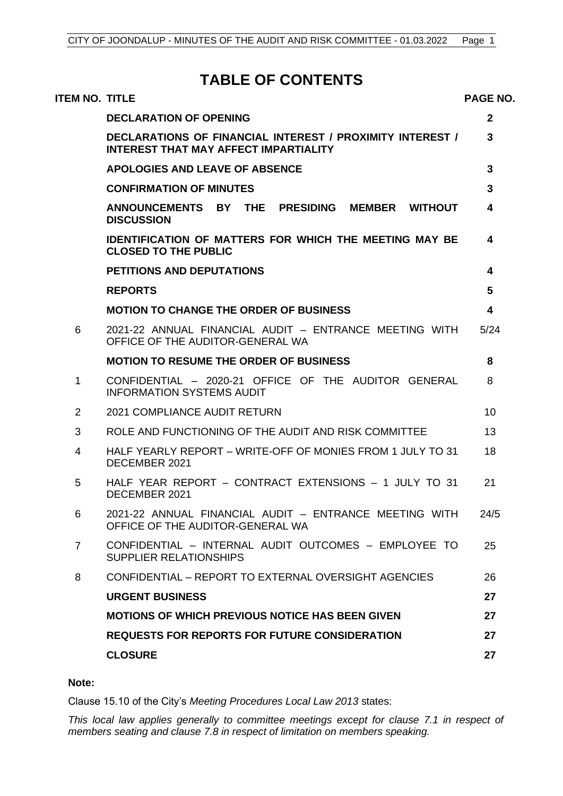# **TABLE OF CONTENTS**

| ITEM NO. TITLE |                                                                                                                  | <b>PAGE NO.</b> |
|----------------|------------------------------------------------------------------------------------------------------------------|-----------------|
|                | <b>DECLARATION OF OPENING</b>                                                                                    | $\mathbf{2}$    |
|                | <b>DECLARATIONS OF FINANCIAL INTEREST / PROXIMITY INTEREST /</b><br><b>INTEREST THAT MAY AFFECT IMPARTIALITY</b> | 3               |
|                | <b>APOLOGIES AND LEAVE OF ABSENCE</b>                                                                            | 3               |
|                | <b>CONFIRMATION OF MINUTES</b>                                                                                   | 3               |
|                | ANNOUNCEMENTS BY THE PRESIDING<br><b>MEMBER WITHOUT</b><br><b>DISCUSSION</b>                                     | 4               |
|                | <b>IDENTIFICATION OF MATTERS FOR WHICH THE MEETING MAY BE</b><br><b>CLOSED TO THE PUBLIC</b>                     | 4               |
|                | <b>PETITIONS AND DEPUTATIONS</b>                                                                                 | 4               |
|                | <b>REPORTS</b>                                                                                                   | 5               |
|                | <b>MOTION TO CHANGE THE ORDER OF BUSINESS</b>                                                                    | 4               |
| 6              | 2021-22 ANNUAL FINANCIAL AUDIT - ENTRANCE MEETING WITH<br>OFFICE OF THE AUDITOR-GENERAL WA                       | 5/24            |
|                | <b>MOTION TO RESUME THE ORDER OF BUSINESS</b>                                                                    | 8               |
| 1              | CONFIDENTIAL - 2020-21 OFFICE OF THE AUDITOR GENERAL<br><b>INFORMATION SYSTEMS AUDIT</b>                         | 8               |
| 2              | 2021 COMPLIANCE AUDIT RETURN                                                                                     | 10              |
| 3              | ROLE AND FUNCTIONING OF THE AUDIT AND RISK COMMITTEE                                                             | 13              |
| 4              | HALF YEARLY REPORT – WRITE-OFF OF MONIES FROM 1 JULY TO 31<br>DECEMBER 2021                                      | 18              |
| 5              | HALF YEAR REPORT - CONTRACT EXTENSIONS - 1 JULY TO 31<br>DECEMBER 2021                                           | 21              |
| 6              | 2021-22 ANNUAL FINANCIAL AUDIT - ENTRANCE MEETING WITH<br>OFFICE OF THE AUDITOR-GENERAL WA                       | 24/5            |
| $\overline{7}$ | CONFIDENTIAL - INTERNAL AUDIT OUTCOMES - EMPLOYEE TO<br><b>SUPPLIER RELATIONSHIPS</b>                            | 25              |
| 8              | CONFIDENTIAL - REPORT TO EXTERNAL OVERSIGHT AGENCIES                                                             | 26              |
|                | <b>URGENT BUSINESS</b>                                                                                           | 27              |
|                | <b>MOTIONS OF WHICH PREVIOUS NOTICE HAS BEEN GIVEN</b>                                                           | 27              |
|                | <b>REQUESTS FOR REPORTS FOR FUTURE CONSIDERATION</b>                                                             | 27              |
|                | <b>CLOSURE</b>                                                                                                   | 27              |
|                |                                                                                                                  |                 |

## **Note:**

Clause 15.10 of the City's *Meeting Procedures Local Law 2013* states:

*This local law applies generally to committee meetings except for clause 7.1 in respect of members seating and clause 7.8 in respect of limitation on members speaking.*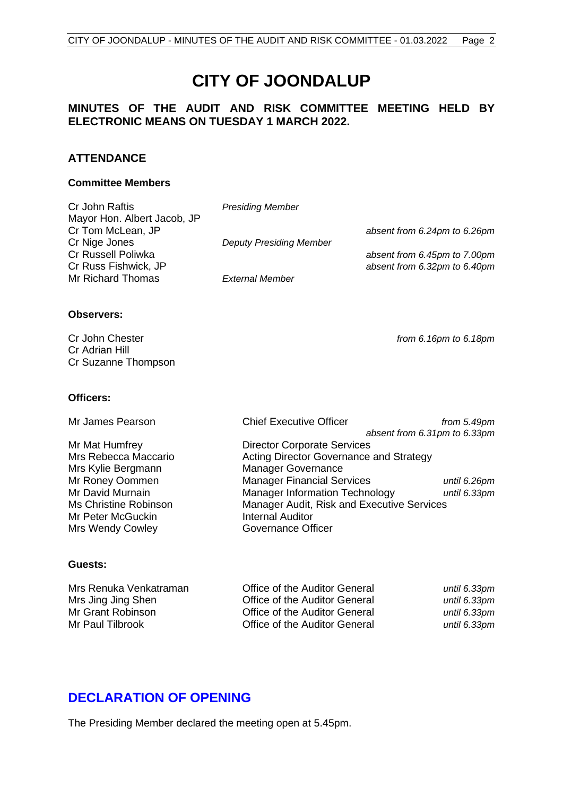# **CITY OF JOONDALUP**

## **MINUTES OF THE AUDIT AND RISK COMMITTEE MEETING HELD BY ELECTRONIC MEANS ON TUESDAY 1 MARCH 2022.**

## **ATTENDANCE**

#### **Committee Members**

| Cr John Raftis              | <b>Presiding Member</b>        |                              |
|-----------------------------|--------------------------------|------------------------------|
| Mayor Hon. Albert Jacob, JP |                                |                              |
| Cr Tom McLean, JP           |                                | absent from 6.24pm to 6.26pm |
| Cr Nige Jones               | <b>Deputy Presiding Member</b> |                              |
| Cr Russell Poliwka          |                                | absent from 6.45pm to 7.00pm |
| Cr Russ Fishwick, JP        |                                | absent from 6.32pm to 6.40pm |
| Mr Richard Thomas           | External Member                |                              |
| <b>Observers:</b>           |                                |                              |

Cr John Chester *from 6.16pm to 6.18pm* Cr Adrian Hill Cr Suzanne Thompson

#### **Officers:**

Mrs Kylie Bergmann Manager Governance<br>
Mr Roney Oommen Manager Financial Se Mr Peter McGuckin **Internal Auditor** Mrs Wendy Cowley **Governance Officer** 

Mr James Pearson Chief Executive Officer *from 5.49pm absent from 6.31pm to 6.33pm* Mr Mat Humfrey Director Corporate Services Mrs Rebecca Maccario **Acting Director Governance and Strategy** Mr Roney Oommen **Manager Financial Services** *until 6.26pm*<br>Manager Information Technology *until 6.33pm* Manager Information Technology *until 6.33pm* Ms Christine Robinson Manager Audit, Risk and Executive Services

#### **Guests:**

| Office of the Auditor General | until 6.33pm |
|-------------------------------|--------------|
| Office of the Auditor General | until 6.33pm |
| Office of the Auditor General | until 6.33pm |
| Office of the Auditor General | until 6.33pm |
|                               |              |

## <span id="page-2-0"></span>**DECLARATION OF OPENING**

The Presiding Member declared the meeting open at 5.45pm.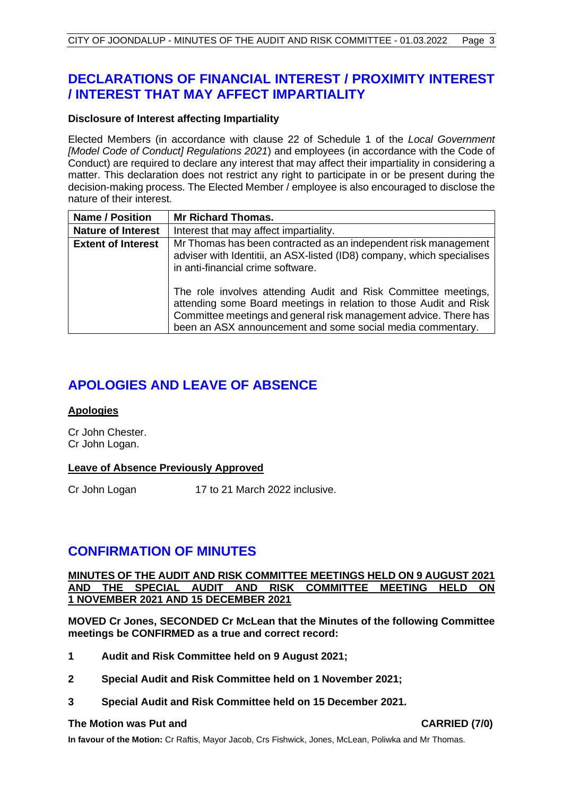# <span id="page-3-0"></span>**DECLARATIONS OF FINANCIAL INTEREST / PROXIMITY INTEREST / INTEREST THAT MAY AFFECT IMPARTIALITY**

## **Disclosure of Interest affecting Impartiality**

Elected Members (in accordance with clause 22 of Schedule 1 of the *Local Government [Model Code of Conduct] Regulations 2021*) and employees (in accordance with the Code of Conduct) are required to declare any interest that may affect their impartiality in considering a matter. This declaration does not restrict any right to participate in or be present during the decision-making process. The Elected Member / employee is also encouraged to disclose the nature of their interest.

| <b>Name / Position</b>    | <b>Mr Richard Thomas.</b>                                                                                                                                                                                                                                             |
|---------------------------|-----------------------------------------------------------------------------------------------------------------------------------------------------------------------------------------------------------------------------------------------------------------------|
| <b>Nature of Interest</b> | Interest that may affect impartiality.                                                                                                                                                                                                                                |
| <b>Extent of Interest</b> | Mr Thomas has been contracted as an independent risk management<br>adviser with Identitii, an ASX-listed (ID8) company, which specialises<br>in anti-financial crime software.                                                                                        |
|                           | The role involves attending Audit and Risk Committee meetings,<br>attending some Board meetings in relation to those Audit and Risk<br>Committee meetings and general risk management advice. There has<br>been an ASX announcement and some social media commentary. |

# <span id="page-3-1"></span>**APOLOGIES AND LEAVE OF ABSENCE**

#### **Apologies**

Cr John Chester. Cr John Logan.

#### **Leave of Absence Previously Approved**

Cr John Logan 17 to 21 March 2022 inclusive.

# <span id="page-3-2"></span>**CONFIRMATION OF MINUTES**

#### **MINUTES OF THE AUDIT AND RISK COMMITTEE MEETINGS HELD ON 9 AUGUST 2021 AND THE SPECIAL AUDIT AND RISK COMMITTEE MEETING HELD ON 1 NOVEMBER 2021 AND 15 DECEMBER 2021**

**MOVED Cr Jones, SECONDED Cr McLean that the Minutes of the following Committee meetings be CONFIRMED as a true and correct record:**

- **1 Audit and Risk Committee held on 9 August 2021;**
- **2 Special Audit and Risk Committee held on 1 November 2021;**
- **3 Special Audit and Risk Committee held on 15 December 2021.**

#### **The Motion was Put and CARRIED (7/0)**

<span id="page-3-3"></span>**In favour of the Motion:** Cr Raftis, Mayor Jacob, Crs Fishwick, Jones, McLean, Poliwka and Mr Thomas.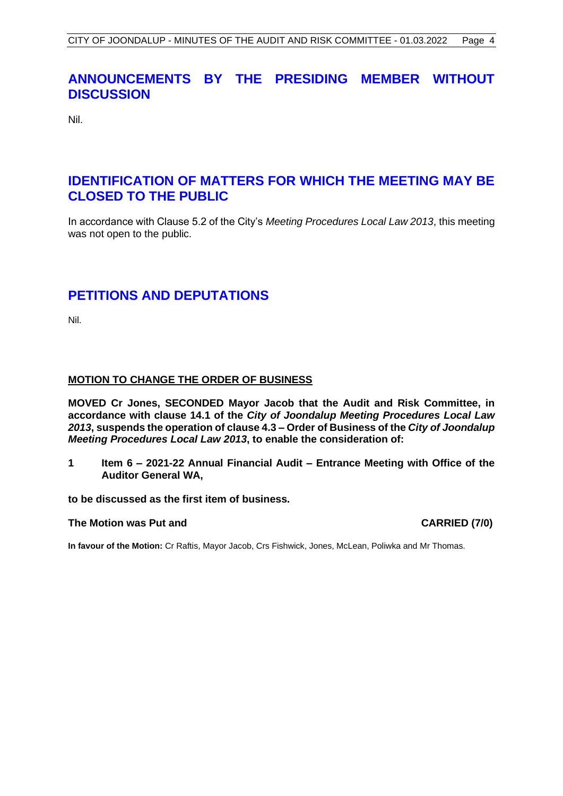# **ANNOUNCEMENTS BY THE PRESIDING MEMBER WITHOUT DISCUSSION**

Nil.

# <span id="page-4-0"></span>**IDENTIFICATION OF MATTERS FOR WHICH THE MEETING MAY BE CLOSED TO THE PUBLIC**

In accordance with Clause 5.2 of the City's *Meeting Procedures Local Law 2013*, this meeting was not open to the public.

# <span id="page-4-1"></span>**PETITIONS AND DEPUTATIONS**

Nil.

## <span id="page-4-2"></span>**MOTION TO CHANGE THE ORDER OF BUSINESS**

**MOVED Cr Jones, SECONDED Mayor Jacob that the Audit and Risk Committee, in accordance with clause 14.1 of the** *City of Joondalup Meeting Procedures Local Law 2013***, suspends the operation of clause 4.3 – Order of Business of the** *City of Joondalup Meeting Procedures Local Law 2013***, to enable the consideration of:**

**1 Item 6 – 2021-22 Annual Financial Audit – Entrance Meeting with Office of the Auditor General WA,**

**to be discussed as the first item of business.**

#### **The Motion was Put and CARRIED (7/0)**

**In favour of the Motion:** Cr Raftis, Mayor Jacob, Crs Fishwick, Jones, McLean, Poliwka and Mr Thomas.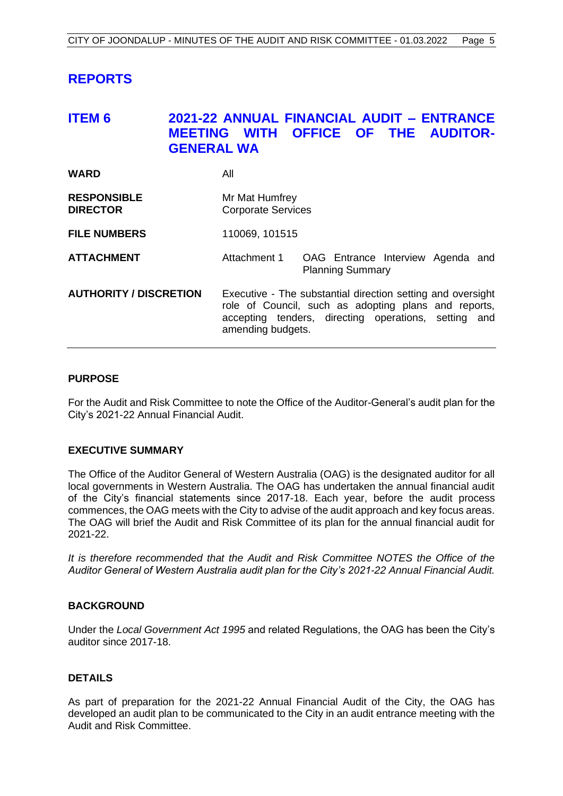# <span id="page-5-0"></span>**REPORTS**

# <span id="page-5-1"></span>**ITEM 6 2021-22 ANNUAL FINANCIAL AUDIT – ENTRANCE MEETING WITH OFFICE OF THE AUDITOR-GENERAL WA**

| <b>WARD</b>                           | All                                                                                                                                                                                              |  |
|---------------------------------------|--------------------------------------------------------------------------------------------------------------------------------------------------------------------------------------------------|--|
| <b>RESPONSIBLE</b><br><b>DIRECTOR</b> | Mr Mat Humfrey<br><b>Corporate Services</b>                                                                                                                                                      |  |
| <b>FILE NUMBERS</b>                   | 110069, 101515                                                                                                                                                                                   |  |
| <b>ATTACHMENT</b>                     | Attachment 1<br>OAG Entrance Interview Agenda and<br><b>Planning Summary</b>                                                                                                                     |  |
| <b>AUTHORITY / DISCRETION</b>         | Executive - The substantial direction setting and oversight<br>role of Council, such as adopting plans and reports,<br>accepting tenders, directing operations, setting and<br>amending budgets. |  |

#### **PURPOSE**

For the Audit and Risk Committee to note the Office of the Auditor-General's audit plan for the City's 2021-22 Annual Financial Audit.

#### **EXECUTIVE SUMMARY**

The Office of the Auditor General of Western Australia (OAG) is the designated auditor for all local governments in Western Australia. The OAG has undertaken the annual financial audit of the City's financial statements since 2017-18. Each year, before the audit process commences, the OAG meets with the City to advise of the audit approach and key focus areas. The OAG will brief the Audit and Risk Committee of its plan for the annual financial audit for 2021-22.

*It is therefore recommended that the Audit and Risk Committee NOTES the Office of the Auditor General of Western Australia audit plan for the City's 2021-22 Annual Financial Audit.*

#### **BACKGROUND**

Under the *Local Government Act 1995* and related Regulations, the OAG has been the City's auditor since 2017-18.

#### **DETAILS**

As part of preparation for the 2021-22 Annual Financial Audit of the City, the OAG has developed an audit plan to be communicated to the City in an audit entrance meeting with the Audit and Risk Committee.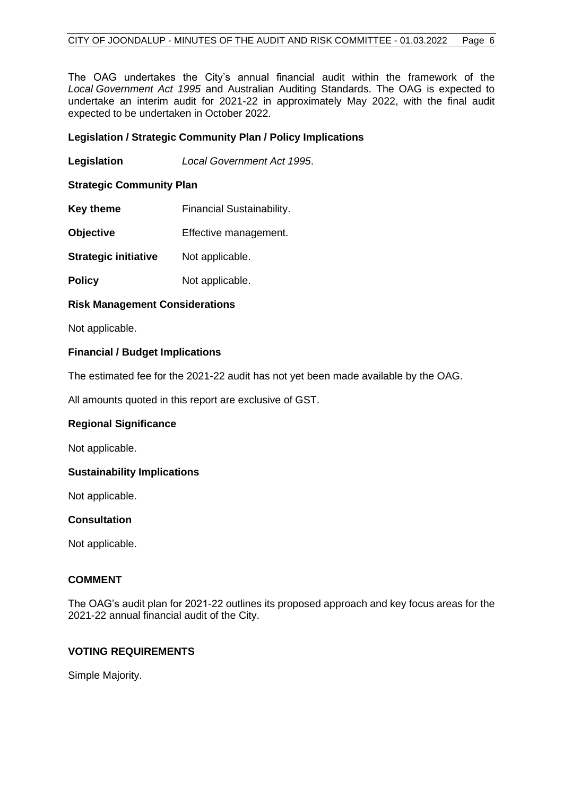The OAG undertakes the City's annual financial audit within the framework of the *Local Government Act 1995* and Australian Auditing Standards. The OAG is expected to undertake an interim audit for 2021-22 in approximately May 2022, with the final audit expected to be undertaken in October 2022.

#### **Legislation / Strategic Community Plan / Policy Implications**

**Legislation** *Local Government Act 1995*.

#### **Strategic Community Plan**

- **Key theme Financial Sustainability.**
- **Objective** Effective management.
- **Strategic initiative** Not applicable.
- **Policy** Not applicable.

#### **Risk Management Considerations**

Not applicable.

#### **Financial / Budget Implications**

The estimated fee for the 2021-22 audit has not yet been made available by the OAG.

All amounts quoted in this report are exclusive of GST.

#### **Regional Significance**

Not applicable.

#### **Sustainability Implications**

Not applicable.

#### **Consultation**

Not applicable.

#### **COMMENT**

The OAG's audit plan for 2021-22 outlines its proposed approach and key focus areas for the 2021-22 annual financial audit of the City.

## **VOTING REQUIREMENTS**

Simple Majority.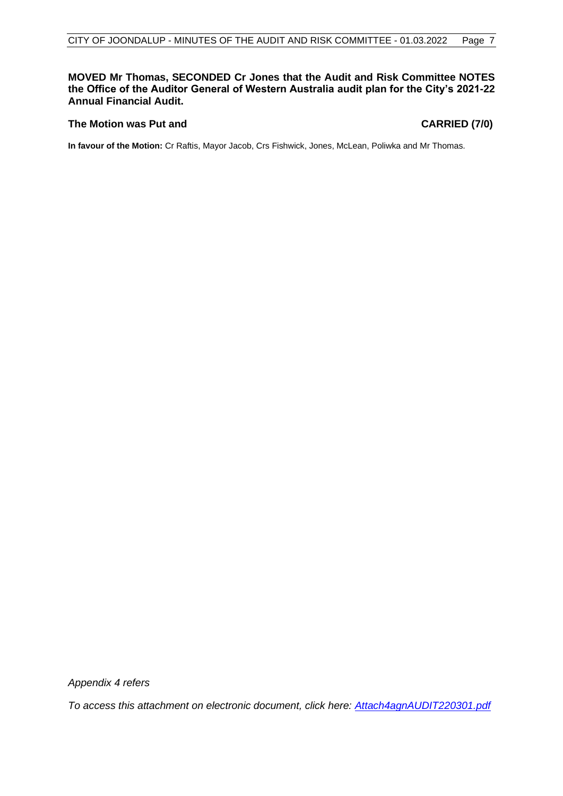#### **MOVED Mr Thomas, SECONDED Cr Jones that the Audit and Risk Committee NOTES the Office of the Auditor General of Western Australia audit plan for the City's 2021-22 Annual Financial Audit.**

#### **The Motion was Put and CARRIED (7/0)**

**In favour of the Motion:** Cr Raftis, Mayor Jacob, Crs Fishwick, Jones, McLean, Poliwka and Mr Thomas.

*Appendix 4 refers*

*To access this attachment on electronic document, click her[e: Attach4agnAUDIT220301.pdf](http://www.joondalup.wa.gov.au/files/committees/AURI/2022/Attach4agnAUDIT220301.pdf)*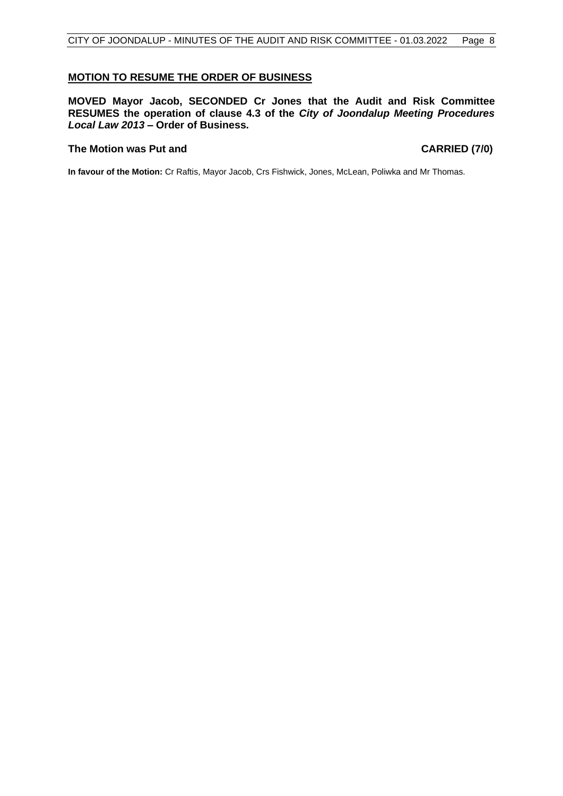#### <span id="page-8-0"></span>**MOTION TO RESUME THE ORDER OF BUSINESS**

**MOVED Mayor Jacob, SECONDED Cr Jones that the Audit and Risk Committee RESUMES the operation of clause 4.3 of the** *City of Joondalup Meeting Procedures Local Law 2013* **– Order of Business.**

#### **The Motion was Put and CARRIED (7/0)**

<span id="page-8-1"></span>**In favour of the Motion:** Cr Raftis, Mayor Jacob, Crs Fishwick, Jones, McLean, Poliwka and Mr Thomas.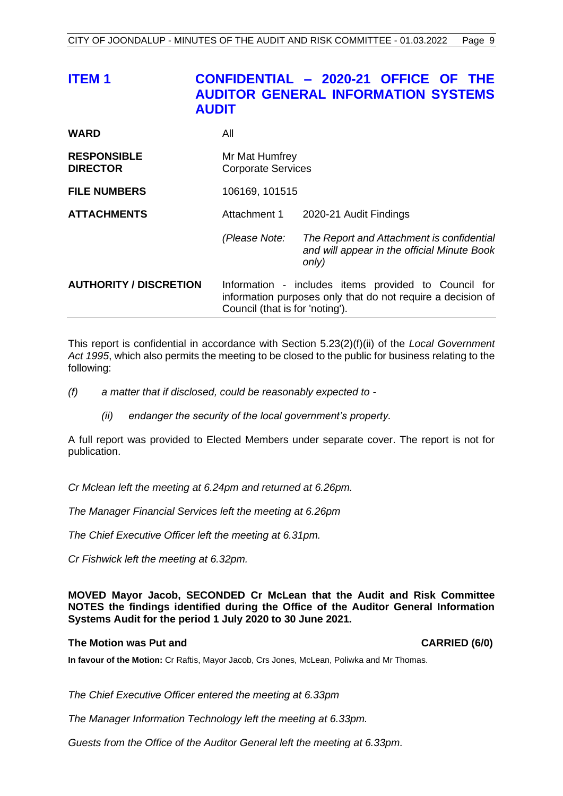| <b>ITEM1</b>                          | <b>AUDIT</b>                                | CONFIDENTIAL - 2020-21 OFFICE OF THE<br><b>AUDITOR GENERAL INFORMATION SYSTEMS</b>                                                                     |  |
|---------------------------------------|---------------------------------------------|--------------------------------------------------------------------------------------------------------------------------------------------------------|--|
| <b>WARD</b>                           | All                                         |                                                                                                                                                        |  |
| <b>RESPONSIBLE</b><br><b>DIRECTOR</b> | Mr Mat Humfrey<br><b>Corporate Services</b> |                                                                                                                                                        |  |
| <b>FILE NUMBERS</b>                   | 106169, 101515                              |                                                                                                                                                        |  |
| <b>ATTACHMENTS</b>                    | Attachment 1                                | 2020-21 Audit Findings                                                                                                                                 |  |
|                                       | (Please Note:                               | The Report and Attachment is confidential<br>and will appear in the official Minute Book<br>only)                                                      |  |
| <b>AUTHORITY / DISCRETION</b>         |                                             | Information - includes items provided to Council for<br>information purposes only that do not require a decision of<br>Council (that is for 'noting'). |  |

This report is confidential in accordance with Section 5.23(2)(f)(ii) of the *Local Government Act 1995*, which also permits the meeting to be closed to the public for business relating to the following:

- *(f) a matter that if disclosed, could be reasonably expected to -*
	- *(ii) endanger the security of the local government's property.*

A full report was provided to Elected Members under separate cover. The report is not for publication.

*Cr Mclean left the meeting at 6.24pm and returned at 6.26pm.*

*The Manager Financial Services left the meeting at 6.26pm*

*The Chief Executive Officer left the meeting at 6.31pm.*

*Cr Fishwick left the meeting at 6.32pm.*

**MOVED Mayor Jacob, SECONDED Cr McLean that the Audit and Risk Committee NOTES the findings identified during the Office of the Auditor General Information Systems Audit for the period 1 July 2020 to 30 June 2021.**

#### **The Motion was Put and CARRIED (6/0)**

**In favour of the Motion:** Cr Raftis, Mayor Jacob, Crs Jones, McLean, Poliwka and Mr Thomas.

*The Chief Executive Officer entered the meeting at 6.33pm*

*The Manager Information Technology left the meeting at 6.33pm.*

*Guests from the Office of the Auditor General left the meeting at 6.33pm.*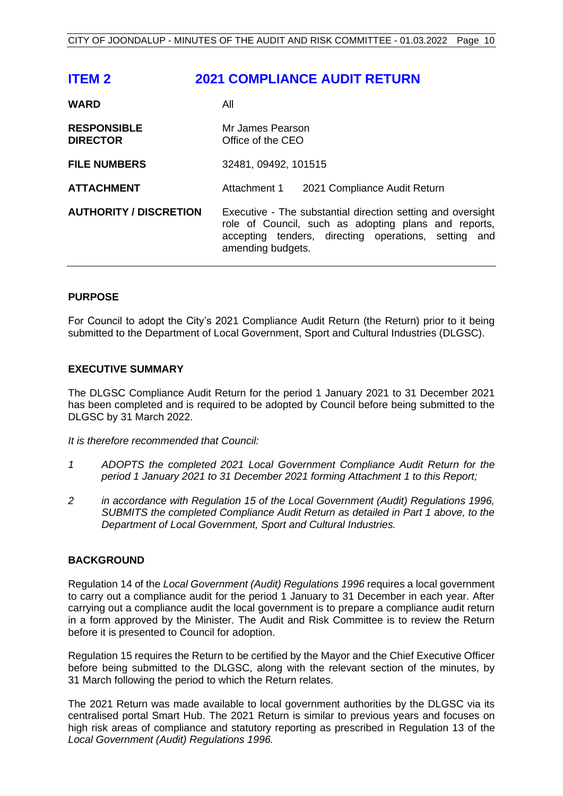<span id="page-10-0"></span>

| <b>ITEM 2</b>                         | <b>2021 COMPLIANCE AUDIT RETURN</b>                                                                                                                                                              |  |
|---------------------------------------|--------------------------------------------------------------------------------------------------------------------------------------------------------------------------------------------------|--|
| <b>WARD</b>                           | All                                                                                                                                                                                              |  |
| <b>RESPONSIBLE</b><br><b>DIRECTOR</b> | Mr James Pearson<br>Office of the CEO                                                                                                                                                            |  |
| <b>FILE NUMBERS</b>                   | 32481, 09492, 101515                                                                                                                                                                             |  |
| <b>ATTACHMENT</b>                     | Attachment 1<br>2021 Compliance Audit Return                                                                                                                                                     |  |
| <b>AUTHORITY / DISCRETION</b>         | Executive - The substantial direction setting and oversight<br>role of Council, such as adopting plans and reports,<br>accepting tenders, directing operations, setting and<br>amending budgets. |  |

#### **PURPOSE**

For Council to adopt the City's 2021 Compliance Audit Return (the Return) prior to it being submitted to the Department of Local Government, Sport and Cultural Industries (DLGSC).

#### **EXECUTIVE SUMMARY**

The DLGSC Compliance Audit Return for the period 1 January 2021 to 31 December 2021 has been completed and is required to be adopted by Council before being submitted to the DLGSC by 31 March 2022.

*It is therefore recommended that Council:*

- *1 ADOPTS the completed 2021 Local Government Compliance Audit Return for the period 1 January 2021 to 31 December 2021 forming Attachment 1 to this Report;*
- *2 in accordance with Regulation 15 of the Local Government (Audit) Regulations 1996, SUBMITS the completed Compliance Audit Return as detailed in Part 1 above, to the Department of Local Government, Sport and Cultural Industries.*

#### **BACKGROUND**

Regulation 14 of the *Local Government (Audit) Regulations 1996* requires a local government to carry out a compliance audit for the period 1 January to 31 December in each year. After carrying out a compliance audit the local government is to prepare a compliance audit return in a form approved by the Minister. The Audit and Risk Committee is to review the Return before it is presented to Council for adoption.

Regulation 15 requires the Return to be certified by the Mayor and the Chief Executive Officer before being submitted to the DLGSC, along with the relevant section of the minutes, by 31 March following the period to which the Return relates.

The 2021 Return was made available to local government authorities by the DLGSC via its centralised portal Smart Hub. The 2021 Return is similar to previous years and focuses on high risk areas of compliance and statutory reporting as prescribed in Regulation 13 of the *Local Government (Audit) Regulations 1996.*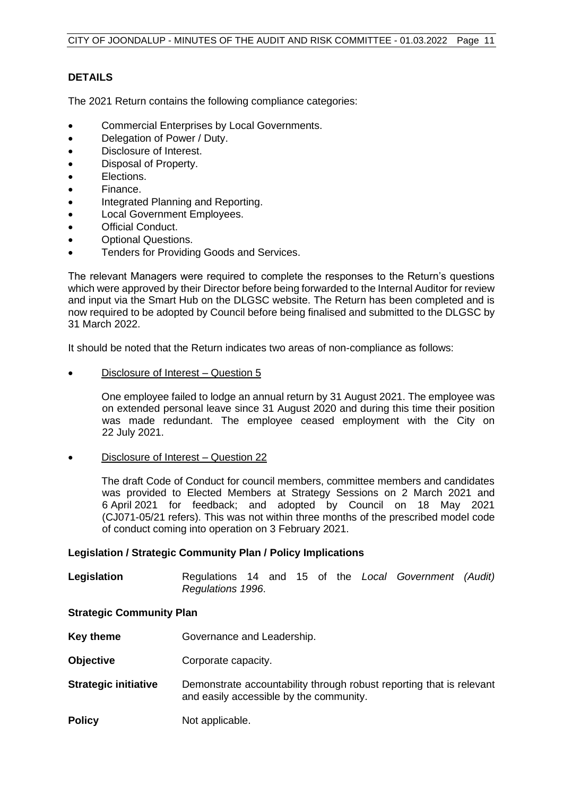## **DETAILS**

The 2021 Return contains the following compliance categories:

- Commercial Enterprises by Local Governments.
- Delegation of Power / Duty.
- Disclosure of Interest.
- Disposal of Property.
- Elections.
- Finance.
- Integrated Planning and Reporting.
- Local Government Employees.
- **Official Conduct.**
- Optional Questions.
- Tenders for Providing Goods and Services.

The relevant Managers were required to complete the responses to the Return's questions which were approved by their Director before being forwarded to the Internal Auditor for review and input via the Smart Hub on the DLGSC website. The Return has been completed and is now required to be adopted by Council before being finalised and submitted to the DLGSC by 31 March 2022.

It should be noted that the Return indicates two areas of non-compliance as follows:

• Disclosure of Interest – Question 5

One employee failed to lodge an annual return by 31 August 2021. The employee was on extended personal leave since 31 August 2020 and during this time their position was made redundant. The employee ceased employment with the City on 22 July 2021.

• Disclosure of Interest – Question 22

The draft Code of Conduct for council members, committee members and candidates was provided to Elected Members at Strategy Sessions on 2 March 2021 and 6 April 2021 for feedback; and adopted by Council on 18 May 2021 (CJ071-05/21 refers). This was not within three months of the prescribed model code of conduct coming into operation on 3 February 2021.

#### **Legislation / Strategic Community Plan / Policy Implications**

**Legislation** Regulations 14 and 15 of the *Local Government (Audit) Regulations 1996*.

#### **Strategic Community Plan**

- **Key theme Governance and Leadership.**
- **Objective Corporate capacity.**
- **Strategic initiative** Demonstrate accountability through robust reporting that is relevant and easily accessible by the community.
- **Policy** Not applicable.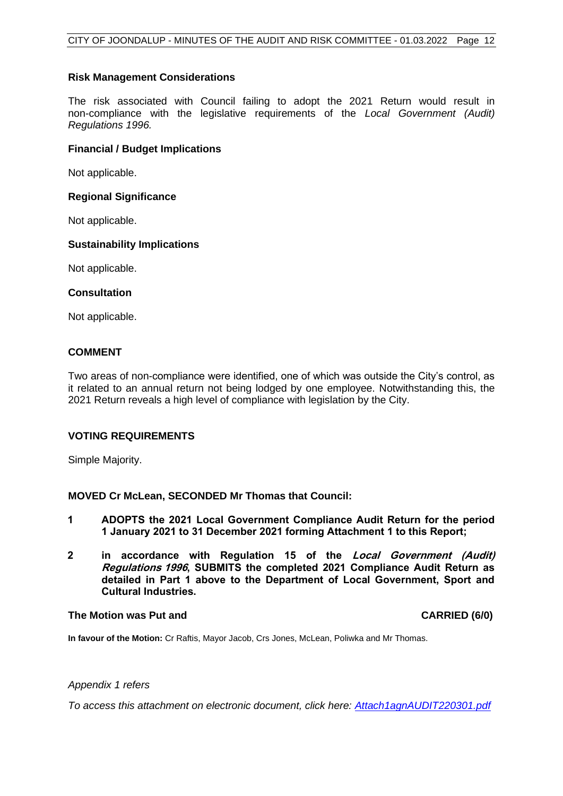#### **Risk Management Considerations**

The risk associated with Council failing to adopt the 2021 Return would result in non-compliance with the legislative requirements of the *Local Government (Audit) Regulations 1996.*

#### **Financial / Budget Implications**

Not applicable.

#### **Regional Significance**

Not applicable.

#### **Sustainability Implications**

Not applicable.

#### **Consultation**

Not applicable.

#### **COMMENT**

Two areas of non-compliance were identified, one of which was outside the City's control, as it related to an annual return not being lodged by one employee. Notwithstanding this, the 2021 Return reveals a high level of compliance with legislation by the City.

#### **VOTING REQUIREMENTS**

Simple Majority.

#### **MOVED Cr McLean, SECONDED Mr Thomas that Council:**

- **1 ADOPTS the 2021 Local Government Compliance Audit Return for the period 1 January 2021 to 31 December 2021 forming Attachment 1 to this Report;**
- **2 in accordance with Regulation 15 of the Local Government (Audit) Regulations 1996, SUBMITS the completed 2021 Compliance Audit Return as detailed in Part 1 above to the Department of Local Government, Sport and Cultural Industries.**

#### **The Motion was Put and CARRIED (6/0)**

**In favour of the Motion:** Cr Raftis, Mayor Jacob, Crs Jones, McLean, Poliwka and Mr Thomas.

#### *Appendix 1 refers*

*To access this attachment on electronic document, click her[e: Attach1agnAUDIT220301.pdf](http://www.joondalup.wa.gov.au/files/committees/AURI/2022/Attach1agnAUDIT220301.pdf)*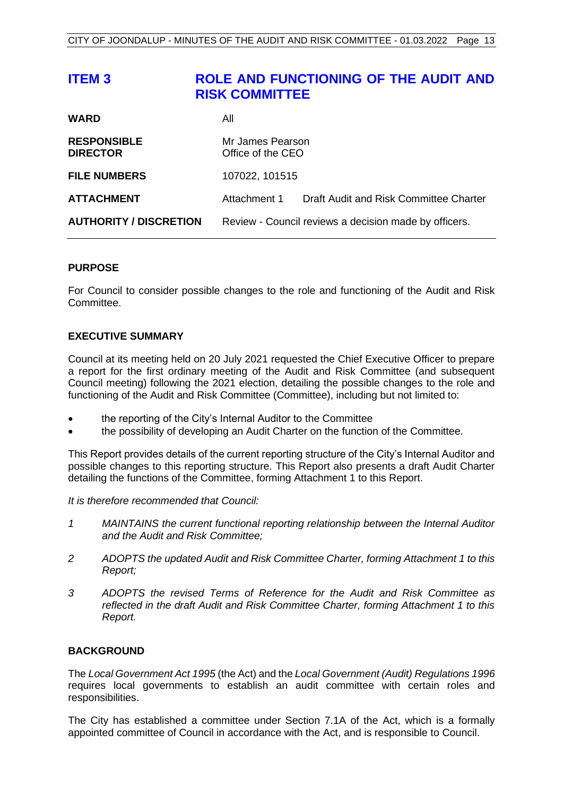<span id="page-13-0"></span>

| <b>ITEM3</b>                          | <b>RISK COMMITTEE</b>                                 | ROLE AND FUNCTIONING OF THE AUDIT AND  |
|---------------------------------------|-------------------------------------------------------|----------------------------------------|
| <b>WARD</b>                           | All                                                   |                                        |
| <b>RESPONSIBLE</b><br><b>DIRECTOR</b> | Mr James Pearson<br>Office of the CEO                 |                                        |
| <b>FILE NUMBERS</b>                   | 107022, 101515                                        |                                        |
| <b>ATTACHMENT</b>                     | Attachment 1                                          | Draft Audit and Risk Committee Charter |
| <b>AUTHORITY / DISCRETION</b>         | Review - Council reviews a decision made by officers. |                                        |

#### **PURPOSE**

For Council to consider possible changes to the role and functioning of the Audit and Risk Committee.

#### **EXECUTIVE SUMMARY**

Council at its meeting held on 20 July 2021 requested the Chief Executive Officer to prepare a report for the first ordinary meeting of the Audit and Risk Committee (and subsequent Council meeting) following the 2021 election, detailing the possible changes to the role and functioning of the Audit and Risk Committee (Committee), including but not limited to:

- the reporting of the City's Internal Auditor to the Committee
- the possibility of developing an Audit Charter on the function of the Committee.

This Report provides details of the current reporting structure of the City's Internal Auditor and possible changes to this reporting structure. This Report also presents a draft Audit Charter detailing the functions of the Committee, forming Attachment 1 to this Report.

*It is therefore recommended that Council:*

- *1 MAINTAINS the current functional reporting relationship between the Internal Auditor and the Audit and Risk Committee;*
- *2 ADOPTS the updated Audit and Risk Committee Charter, forming Attachment 1 to this Report;*
- *3 ADOPTS the revised Terms of Reference for the Audit and Risk Committee as reflected in the draft Audit and Risk Committee Charter, forming Attachment 1 to this Report.*

#### **BACKGROUND**

The *Local Government Act 1995* (the Act) and the *Local Government (Audit) Regulations 1996*  requires local governments to establish an audit committee with certain roles and responsibilities.

The City has established a committee under Section 7.1A of the Act, which is a formally appointed committee of Council in accordance with the Act, and is responsible to Council.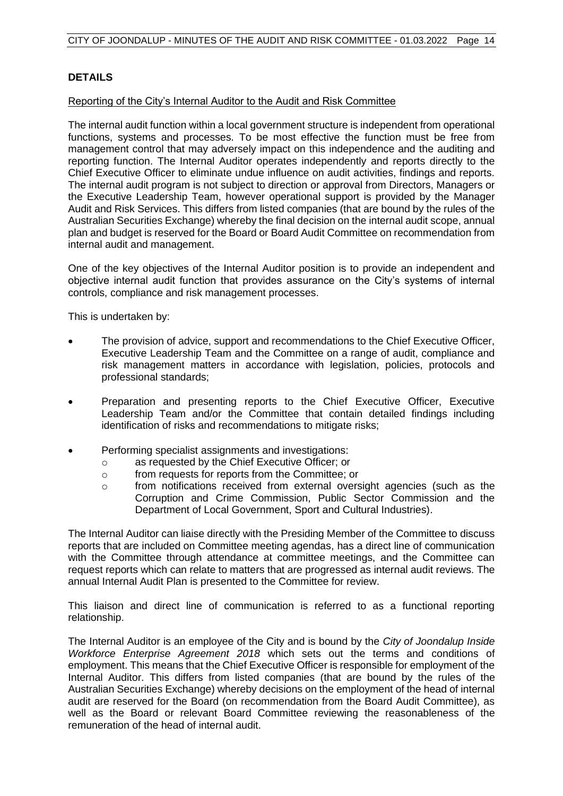## **DETAILS**

#### Reporting of the City's Internal Auditor to the Audit and Risk Committee

The internal audit function within a local government structure is independent from operational functions, systems and processes. To be most effective the function must be free from management control that may adversely impact on this independence and the auditing and reporting function. The Internal Auditor operates independently and reports directly to the Chief Executive Officer to eliminate undue influence on audit activities, findings and reports. The internal audit program is not subject to direction or approval from Directors, Managers or the Executive Leadership Team, however operational support is provided by the Manager Audit and Risk Services. This differs from listed companies (that are bound by the rules of the Australian Securities Exchange) whereby the final decision on the internal audit scope, annual plan and budget is reserved for the Board or Board Audit Committee on recommendation from internal audit and management.

One of the key objectives of the Internal Auditor position is to provide an independent and objective internal audit function that provides assurance on the City's systems of internal controls, compliance and risk management processes.

This is undertaken by:

- The provision of advice, support and recommendations to the Chief Executive Officer, Executive Leadership Team and the Committee on a range of audit, compliance and risk management matters in accordance with legislation, policies, protocols and professional standards;
- Preparation and presenting reports to the Chief Executive Officer, Executive Leadership Team and/or the Committee that contain detailed findings including identification of risks and recommendations to mitigate risks;
- Performing specialist assignments and investigations:
	- o as requested by the Chief Executive Officer; or
	- o from requests for reports from the Committee; or
	- o from notifications received from external oversight agencies (such as the Corruption and Crime Commission, Public Sector Commission and the Department of Local Government, Sport and Cultural Industries).

The Internal Auditor can liaise directly with the Presiding Member of the Committee to discuss reports that are included on Committee meeting agendas, has a direct line of communication with the Committee through attendance at committee meetings, and the Committee can request reports which can relate to matters that are progressed as internal audit reviews. The annual Internal Audit Plan is presented to the Committee for review.

This liaison and direct line of communication is referred to as a functional reporting relationship.

The Internal Auditor is an employee of the City and is bound by the *City of Joondalup Inside Workforce Enterprise Agreement 2018* which sets out the terms and conditions of employment. This means that the Chief Executive Officer is responsible for employment of the Internal Auditor. This differs from listed companies (that are bound by the rules of the Australian Securities Exchange) whereby decisions on the employment of the head of internal audit are reserved for the Board (on recommendation from the Board Audit Committee), as well as the Board or relevant Board Committee reviewing the reasonableness of the remuneration of the head of internal audit.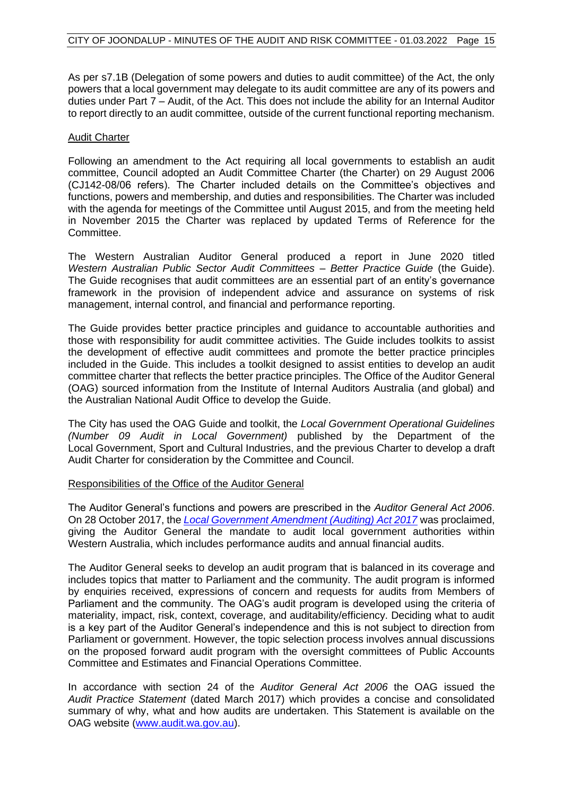As per s7.1B (Delegation of some powers and duties to audit committee) of the Act, the only powers that a local government may delegate to its audit committee are any of its powers and duties under Part 7 – Audit, of the Act. This does not include the ability for an Internal Auditor to report directly to an audit committee, outside of the current functional reporting mechanism.

#### Audit Charter

Following an amendment to the Act requiring all local governments to establish an audit committee, Council adopted an Audit Committee Charter (the Charter) on 29 August 2006 (CJ142-08/06 refers). The Charter included details on the Committee's objectives and functions, powers and membership, and duties and responsibilities. The Charter was included with the agenda for meetings of the Committee until August 2015, and from the meeting held in November 2015 the Charter was replaced by updated Terms of Reference for the Committee.

The Western Australian Auditor General produced a report in June 2020 titled *Western Australian Public Sector Audit Committees – Better Practice Guide* (the Guide). The Guide recognises that audit committees are an essential part of an entity's governance framework in the provision of independent advice and assurance on systems of risk management, internal control, and financial and performance reporting.

The Guide provides better practice principles and guidance to accountable authorities and those with responsibility for audit committee activities. The Guide includes toolkits to assist the development of effective audit committees and promote the better practice principles included in the Guide. This includes a toolkit designed to assist entities to develop an audit committee charter that reflects the better practice principles. The Office of the Auditor General (OAG) sourced information from the Institute of Internal Auditors Australia (and global) and the Australian National Audit Office to develop the Guide.

The City has used the OAG Guide and toolkit, the *Local Government Operational Guidelines (Number 09 Audit in Local Government)* published by the Department of the Local Government, Sport and Cultural Industries, and the previous Charter to develop a draft Audit Charter for consideration by the Committee and Council.

#### Responsibilities of the Office of the Auditor General

The Auditor General's functions and powers are prescribed in the *Auditor General Act 2006*. On 28 October 2017, the *[Local Government Amendment \(Auditing\) Act 2017](https://www.slp.wa.gov.au/pco/prod/filestore.nsf/FileURL/mrdoc_37024.pdf/$FILE/Local%20Government%20Amendment%20(Auditing)%20Act%202017%20-%20%5B00-00-00%5D.pdf?OpenElement)* was proclaimed, giving the Auditor General the mandate to audit local government authorities within Western Australia, which includes performance audits and annual financial audits.

The Auditor General seeks to develop an audit program that is balanced in its coverage and includes topics that matter to Parliament and the community. The audit program is informed by enquiries received, expressions of concern and requests for audits from Members of Parliament and the community. The OAG's audit program is developed using the criteria of materiality, impact, risk, context, coverage, and auditability/efficiency. Deciding what to audit is a key part of the Auditor General's independence and this is not subject to direction from Parliament or government. However, the topic selection process involves annual discussions on the proposed forward audit program with the oversight committees of Public Accounts Committee and Estimates and Financial Operations Committee.

In accordance with section 24 of the *Auditor General Act 2006* the OAG issued the *Audit Practice Statement* (dated March 2017) which provides a concise and consolidated summary of why, what and how audits are undertaken. This Statement is available on the OAG website (www.audit.wa.gov.au).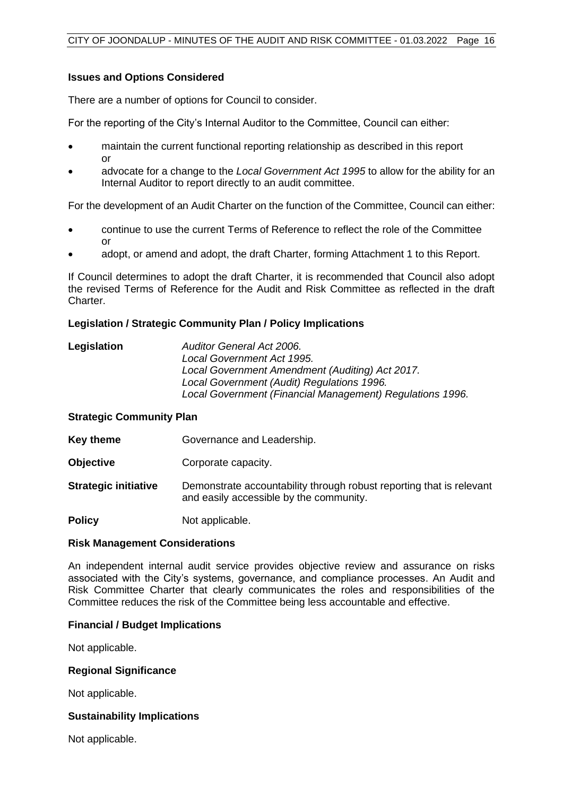#### **Issues and Options Considered**

There are a number of options for Council to consider.

For the reporting of the City's Internal Auditor to the Committee, Council can either:

- maintain the current functional reporting relationship as described in this report or
- advocate for a change to the *Local Government Act 1995* to allow for the ability for an Internal Auditor to report directly to an audit committee.

For the development of an Audit Charter on the function of the Committee, Council can either:

- continue to use the current Terms of Reference to reflect the role of the Committee or
- adopt, or amend and adopt, the draft Charter, forming Attachment 1 to this Report.

If Council determines to adopt the draft Charter, it is recommended that Council also adopt the revised Terms of Reference for the Audit and Risk Committee as reflected in the draft Charter.

#### **Legislation / Strategic Community Plan / Policy Implications**

| Legislation | Auditor General Act 2006.                                 |
|-------------|-----------------------------------------------------------|
|             | Local Government Act 1995.                                |
|             | Local Government Amendment (Auditing) Act 2017.           |
|             | Local Government (Audit) Regulations 1996.                |
|             | Local Government (Financial Management) Regulations 1996. |

#### **Strategic Community Plan**

**Key theme Governance and Leadership.** 

**Objective Corporate capacity.** 

**Strategic initiative** Demonstrate accountability through robust reporting that is relevant and easily accessible by the community.

**Policy** Not applicable.

#### **Risk Management Considerations**

An independent internal audit service provides objective review and assurance on risks associated with the City's systems, governance, and compliance processes. An Audit and Risk Committee Charter that clearly communicates the roles and responsibilities of the Committee reduces the risk of the Committee being less accountable and effective.

#### **Financial / Budget Implications**

Not applicable.

#### **Regional Significance**

Not applicable.

#### **Sustainability Implications**

Not applicable.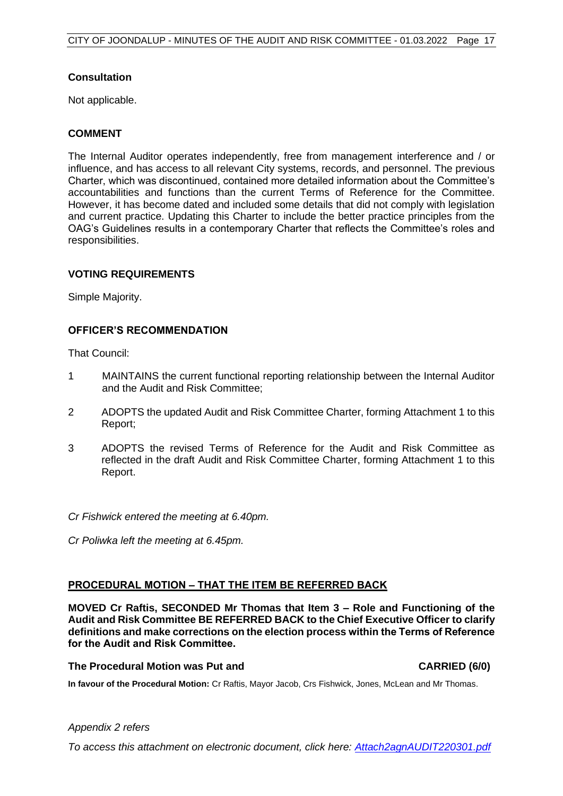## **Consultation**

Not applicable.

#### **COMMENT**

The Internal Auditor operates independently, free from management interference and / or influence, and has access to all relevant City systems, records, and personnel. The previous Charter, which was discontinued, contained more detailed information about the Committee's accountabilities and functions than the current Terms of Reference for the Committee. However, it has become dated and included some details that did not comply with legislation and current practice. Updating this Charter to include the better practice principles from the OAG's Guidelines results in a contemporary Charter that reflects the Committee's roles and responsibilities.

#### **VOTING REQUIREMENTS**

Simple Majority.

#### **OFFICER'S RECOMMENDATION**

That Council:

- 1 MAINTAINS the current functional reporting relationship between the Internal Auditor and the Audit and Risk Committee;
- 2 ADOPTS the updated Audit and Risk Committee Charter, forming Attachment 1 to this Report;
- 3 ADOPTS the revised Terms of Reference for the Audit and Risk Committee as reflected in the draft Audit and Risk Committee Charter, forming Attachment 1 to this Report.

*Cr Fishwick entered the meeting at 6.40pm.*

*Cr Poliwka left the meeting at 6.45pm.*

#### **PROCEDURAL MOTION – THAT THE ITEM BE REFERRED BACK**

**MOVED Cr Raftis, SECONDED Mr Thomas that Item 3 – Role and Functioning of the Audit and Risk Committee BE REFERRED BACK to the Chief Executive Officer to clarify definitions and make corrections on the election process within the Terms of Reference for the Audit and Risk Committee.**

#### **The Procedural Motion was Put and CARRIED (6/0)**

**In favour of the Procedural Motion:** Cr Raftis, Mayor Jacob, Crs Fishwick, Jones, McLean and Mr Thomas.

#### *Appendix 2 refers*

*To access this attachment on electronic document, click h[ere: Attach2agnAUDIT220301.pdf](http://www.joondalup.wa.gov.au/files/committees/AURI/2022/Attach2agnAUDIT220301.pdf)*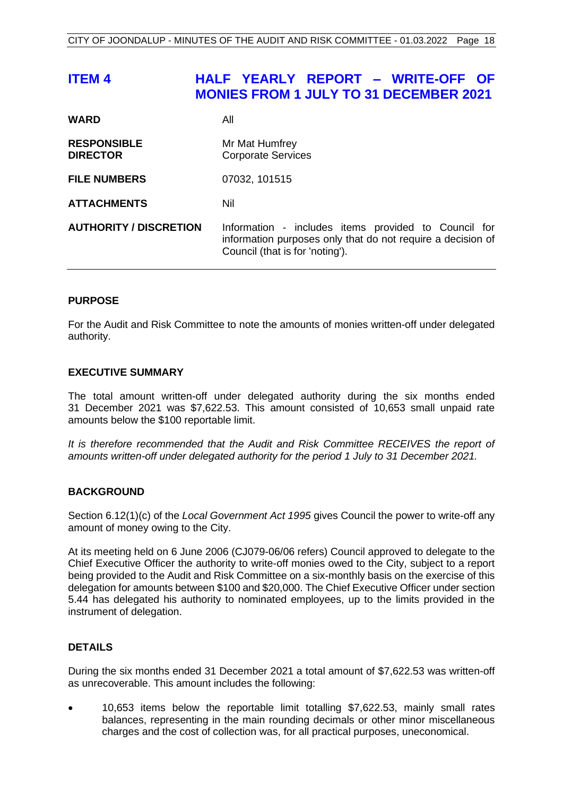# <span id="page-18-0"></span>**ITEM 4 HALF YEARLY REPORT – WRITE-OFF OF MONIES FROM 1 JULY TO 31 DECEMBER 2021**

| <b>WARD</b>                           | All                                                                                                                                                    |
|---------------------------------------|--------------------------------------------------------------------------------------------------------------------------------------------------------|
| <b>RESPONSIBLE</b><br><b>DIRECTOR</b> | Mr Mat Humfrey<br><b>Corporate Services</b>                                                                                                            |
| <b>FILE NUMBERS</b>                   | 07032, 101515                                                                                                                                          |
| <b>ATTACHMENTS</b>                    | Nil                                                                                                                                                    |
| <b>AUTHORITY / DISCRETION</b>         | Information - includes items provided to Council for<br>information purposes only that do not require a decision of<br>Council (that is for 'noting'). |

#### **PURPOSE**

For the Audit and Risk Committee to note the amounts of monies written-off under delegated authority.

#### **EXECUTIVE SUMMARY**

The total amount written-off under delegated authority during the six months ended 31 December 2021 was \$7,622.53. This amount consisted of 10,653 small unpaid rate amounts below the \$100 reportable limit.

*It is therefore recommended that the Audit and Risk Committee RECEIVES the report of amounts written-off under delegated authority for the period 1 July to 31 December 2021.*

#### **BACKGROUND**

Section 6.12(1)(c) of the *Local Government Act 1995* gives Council the power to write-off any amount of money owing to the City.

At its meeting held on 6 June 2006 (CJ079-06/06 refers) Council approved to delegate to the Chief Executive Officer the authority to write-off monies owed to the City, subject to a report being provided to the Audit and Risk Committee on a six-monthly basis on the exercise of this delegation for amounts between \$100 and \$20,000. The Chief Executive Officer under section 5.44 has delegated his authority to nominated employees, up to the limits provided in the instrument of delegation.

#### **DETAILS**

During the six months ended 31 December 2021 a total amount of \$7,622.53 was written-off as unrecoverable. This amount includes the following:

• 10,653 items below the reportable limit totalling \$7,622.53, mainly small rates balances, representing in the main rounding decimals or other minor miscellaneous charges and the cost of collection was, for all practical purposes, uneconomical.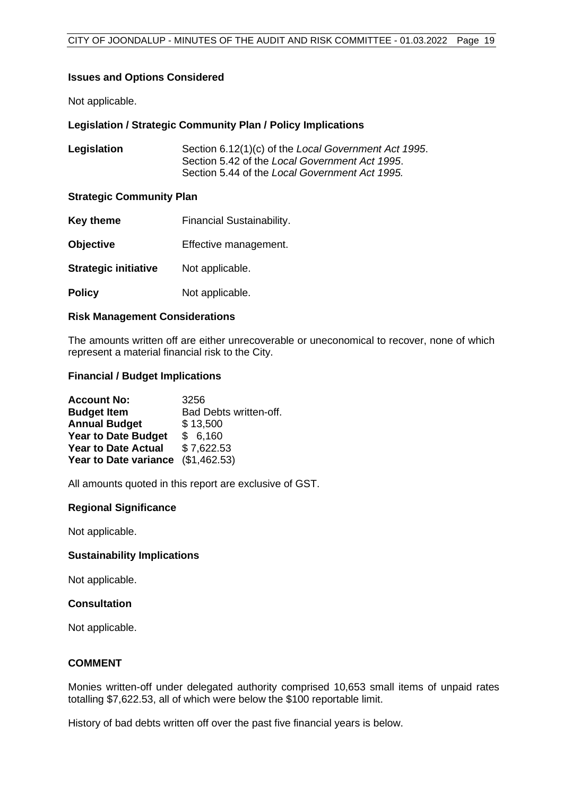#### **Issues and Options Considered**

Not applicable.

#### **Legislation / Strategic Community Plan / Policy Implications**

| Legislation | Section 6.12(1)(c) of the Local Government Act 1995. |
|-------------|------------------------------------------------------|
|             | Section 5.42 of the Local Government Act 1995.       |
|             | Section 5.44 of the Local Government Act 1995.       |

#### **Strategic Community Plan**

| Key theme                   | <b>Financial Sustainability.</b> |
|-----------------------------|----------------------------------|
| <b>Objective</b>            | Effective management.            |
| <b>Strategic initiative</b> | Not applicable.                  |
| <b>Policy</b>               | Not applicable.                  |

#### **Risk Management Considerations**

The amounts written off are either unrecoverable or uneconomical to recover, none of which represent a material financial risk to the City.

#### **Financial / Budget Implications**

| <b>Account No:</b>                 | 3256                   |
|------------------------------------|------------------------|
| <b>Budget Item</b>                 | Bad Debts written-off. |
| <b>Annual Budget</b>               | \$13,500               |
| <b>Year to Date Budget</b>         | \$6,160                |
| <b>Year to Date Actual</b>         | \$7,622.53             |
| Year to Date variance (\$1,462.53) |                        |

All amounts quoted in this report are exclusive of GST.

#### **Regional Significance**

Not applicable.

#### **Sustainability Implications**

Not applicable.

#### **Consultation**

Not applicable.

#### **COMMENT**

Monies written-off under delegated authority comprised 10,653 small items of unpaid rates totalling \$7,622.53, all of which were below the \$100 reportable limit.

History of bad debts written off over the past five financial years is below.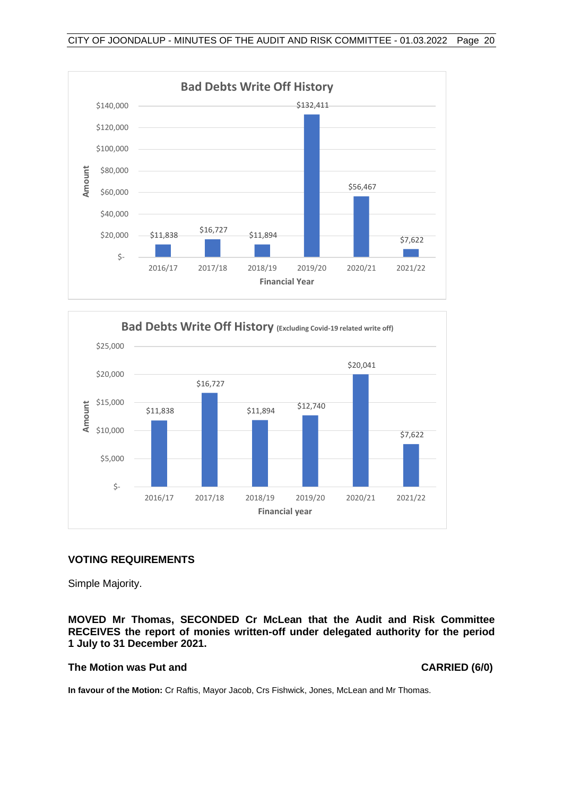



#### **VOTING REQUIREMENTS**

Simple Majority.

**MOVED Mr Thomas, SECONDED Cr McLean that the Audit and Risk Committee RECEIVES the report of monies written-off under delegated authority for the period 1 July to 31 December 2021.**

#### **The Motion was Put and CARRIED (6/0)**

**In favour of the Motion:** Cr Raftis, Mayor Jacob, Crs Fishwick, Jones, McLean and Mr Thomas.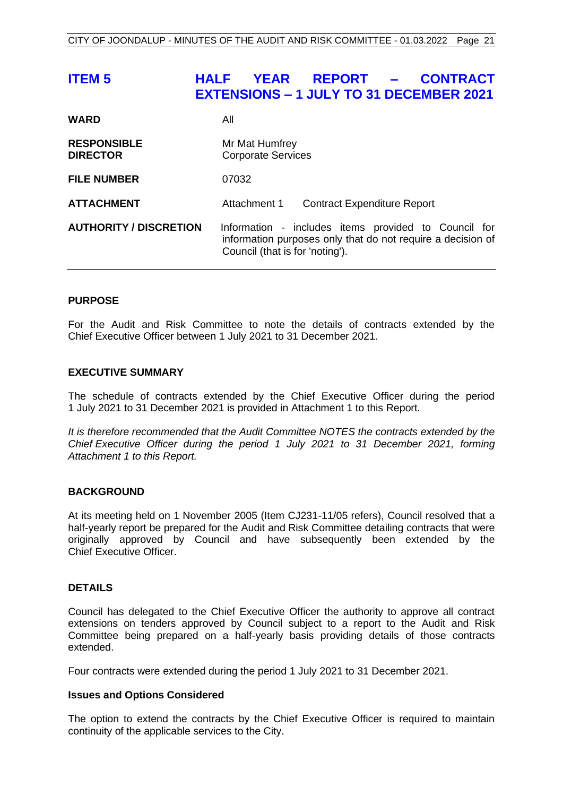# <span id="page-21-0"></span>**ITEM 5 HALF YEAR REPORT – CONTRACT EXTENSIONS – 1 JULY TO 31 DECEMBER 2021**

| <b>WARD</b>                           | All                                                                                                                                                    |
|---------------------------------------|--------------------------------------------------------------------------------------------------------------------------------------------------------|
| <b>RESPONSIBLE</b><br><b>DIRECTOR</b> | Mr Mat Humfrey<br><b>Corporate Services</b>                                                                                                            |
| <b>FILE NUMBER</b>                    | 07032                                                                                                                                                  |
| <b>ATTACHMENT</b>                     | Attachment 1<br><b>Contract Expenditure Report</b>                                                                                                     |
| <b>AUTHORITY / DISCRETION</b>         | Information - includes items provided to Council for<br>information purposes only that do not require a decision of<br>Council (that is for 'noting'). |

#### **PURPOSE**

For the Audit and Risk Committee to note the details of contracts extended by the Chief Executive Officer between 1 July 2021 to 31 December 2021.

#### **EXECUTIVE SUMMARY**

The schedule of contracts extended by the Chief Executive Officer during the period 1 July 2021 to 31 December 2021 is provided in Attachment 1 to this Report.

*It is therefore recommended that the Audit Committee NOTES the contracts extended by the Chief Executive Officer during the period 1 July 2021 to 31 December 2021, forming Attachment 1 to this Report.*

#### **BACKGROUND**

At its meeting held on 1 November 2005 (Item CJ231-11/05 refers), Council resolved that a half-yearly report be prepared for the Audit and Risk Committee detailing contracts that were originally approved by Council and have subsequently been extended by the Chief Executive Officer.

#### **DETAILS**

Council has delegated to the Chief Executive Officer the authority to approve all contract extensions on tenders approved by Council subject to a report to the Audit and Risk Committee being prepared on a half-yearly basis providing details of those contracts extended.

Four contracts were extended during the period 1 July 2021 to 31 December 2021.

#### **Issues and Options Considered**

The option to extend the contracts by the Chief Executive Officer is required to maintain continuity of the applicable services to the City.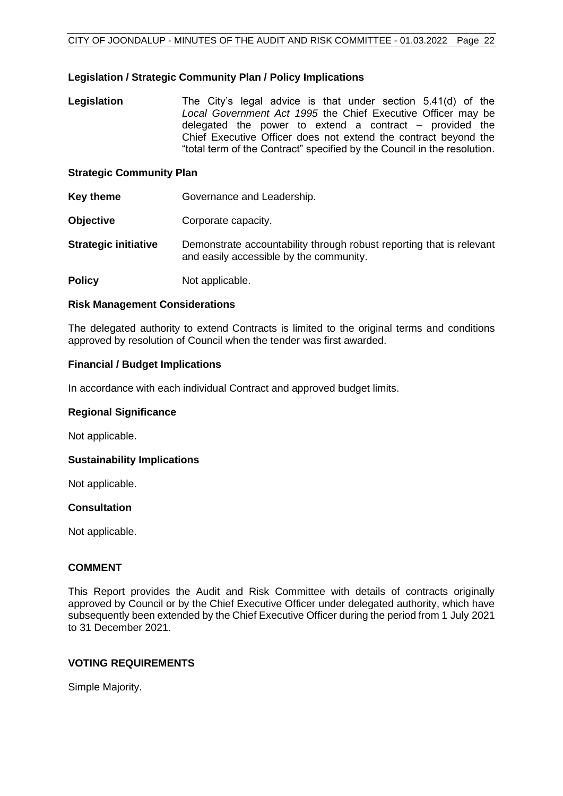#### **Legislation / Strategic Community Plan / Policy Implications**

**Legislation** The City's legal advice is that under section 5.41(d) of the *Local Government Act 1995* the Chief Executive Officer may be delegated the power to extend a contract – provided the Chief Executive Officer does not extend the contract beyond the "total term of the Contract" specified by the Council in the resolution.

#### **Strategic Community Plan**

- **Key theme Governance and Leadership.**
- **Objective Corporate capacity.**
- **Strategic initiative** Demonstrate accountability through robust reporting that is relevant and easily accessible by the community.
- **Policy** Not applicable.

#### **Risk Management Considerations**

The delegated authority to extend Contracts is limited to the original terms and conditions approved by resolution of Council when the tender was first awarded.

#### **Financial / Budget Implications**

In accordance with each individual Contract and approved budget limits.

#### **Regional Significance**

Not applicable.

#### **Sustainability Implications**

Not applicable.

#### **Consultation**

Not applicable.

#### **COMMENT**

This Report provides the Audit and Risk Committee with details of contracts originally approved by Council or by the Chief Executive Officer under delegated authority, which have subsequently been extended by the Chief Executive Officer during the period from 1 July 2021 to 31 December 2021.

#### **VOTING REQUIREMENTS**

Simple Majority.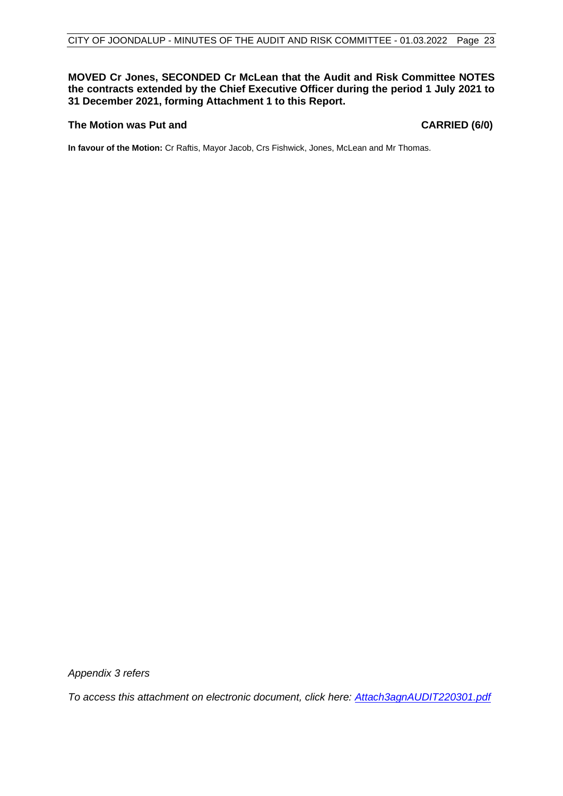#### **MOVED Cr Jones, SECONDED Cr McLean that the Audit and Risk Committee NOTES the contracts extended by the Chief Executive Officer during the period 1 July 2021 to 31 December 2021, forming Attachment 1 to this Report.**

#### **The Motion was Put and CARRIED (6/0)**

**In favour of the Motion:** Cr Raftis, Mayor Jacob, Crs Fishwick, Jones, McLean and Mr Thomas.

*Appendix 3 refers*

*To access this attachment on electronic document, click h[ere: Attach3agnAUDIT220301.pdf](http://www.joondalup.wa.gov.au/files/committees/AURI/2022/Attach3agnAUDIT220301.pdf)*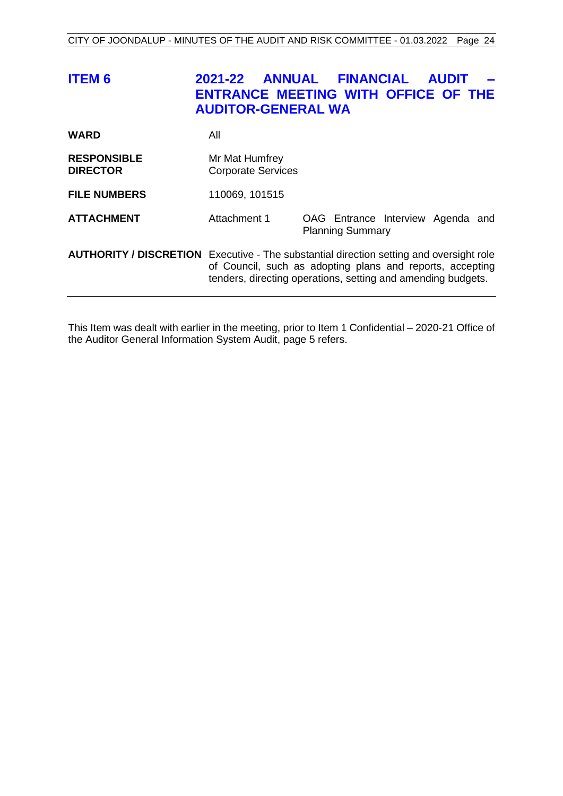<span id="page-24-0"></span>

| <b>ITEM 6</b>                                                                                  | 2021-22<br>ENTRANCE MEETING WITH OFFICE OF THE<br><b>AUDITOR-GENERAL WA</b>                                               | <b>ANNUAL FINANCIAL</b> | <b>AUDIT</b>                      |
|------------------------------------------------------------------------------------------------|---------------------------------------------------------------------------------------------------------------------------|-------------------------|-----------------------------------|
| <b>WARD</b>                                                                                    | All                                                                                                                       |                         |                                   |
| <b>RESPONSIBLE</b><br><b>DIRECTOR</b>                                                          | Mr Mat Humfrey<br><b>Corporate Services</b>                                                                               |                         |                                   |
| <b>FILE NUMBERS</b>                                                                            | 110069, 101515                                                                                                            |                         |                                   |
| <b>ATTACHMENT</b>                                                                              | Attachment 1                                                                                                              | <b>Planning Summary</b> | OAG Entrance Interview Agenda and |
| <b>AUTHORITY / DISCRETION</b> Executive - The substantial direction setting and oversight role | of Council, such as adopting plans and reports, accepting<br>tenders, directing operations, setting and amending budgets. |                         |                                   |

This Item was dealt with earlier in the meeting, prior to Item 1 Confidential – 2020-21 Office of the Auditor General Information System Audit, page [5](#page-5-1) refers.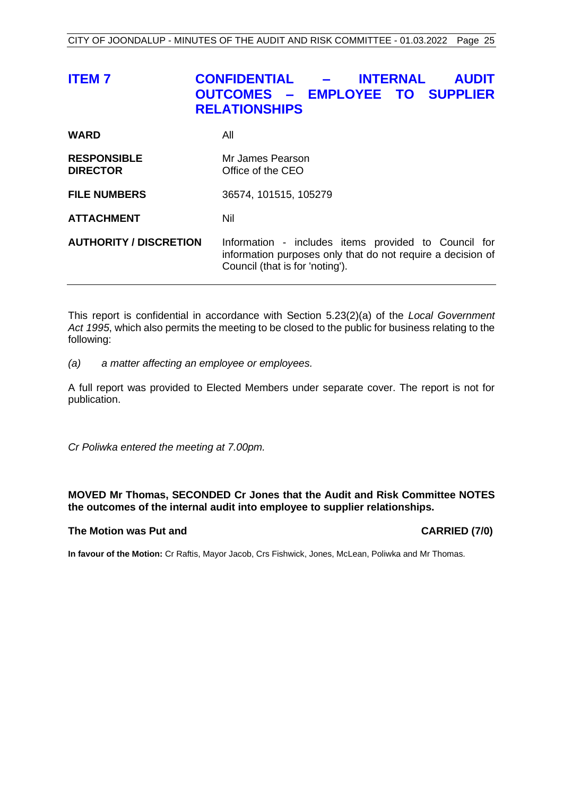<span id="page-25-0"></span>

| <b>ITEM7</b>                          | <b>CONFIDENTIAL</b><br><b>INTERNAL</b><br><b>AUDIT</b><br><b>OUTCOMES - EMPLOYEE TO SUPPLIER</b><br><b>RELATIONSHIPS</b>                               |
|---------------------------------------|--------------------------------------------------------------------------------------------------------------------------------------------------------|
| WARD                                  | All                                                                                                                                                    |
| <b>RESPONSIBLE</b><br><b>DIRECTOR</b> | Mr James Pearson<br>Office of the CEO                                                                                                                  |
| <b>FILE NUMBERS</b>                   | 36574, 101515, 105279                                                                                                                                  |
| <b>ATTACHMENT</b>                     | Nil                                                                                                                                                    |
| <b>AUTHORITY / DISCRETION</b>         | Information - includes items provided to Council for<br>information purposes only that do not require a decision of<br>Council (that is for 'noting'). |

This report is confidential in accordance with Section 5.23(2)(a) of the *Local Government Act 1995*, which also permits the meeting to be closed to the public for business relating to the following:

*(a) a matter affecting an employee or employees.*

A full report was provided to Elected Members under separate cover. The report is not for publication.

*Cr Poliwka entered the meeting at 7.00pm.*

#### **MOVED Mr Thomas, SECONDED Cr Jones that the Audit and Risk Committee NOTES the outcomes of the internal audit into employee to supplier relationships.**

#### **The Motion was Put and CARRIED (7/0)**

**In favour of the Motion:** Cr Raftis, Mayor Jacob, Crs Fishwick, Jones, McLean, Poliwka and Mr Thomas.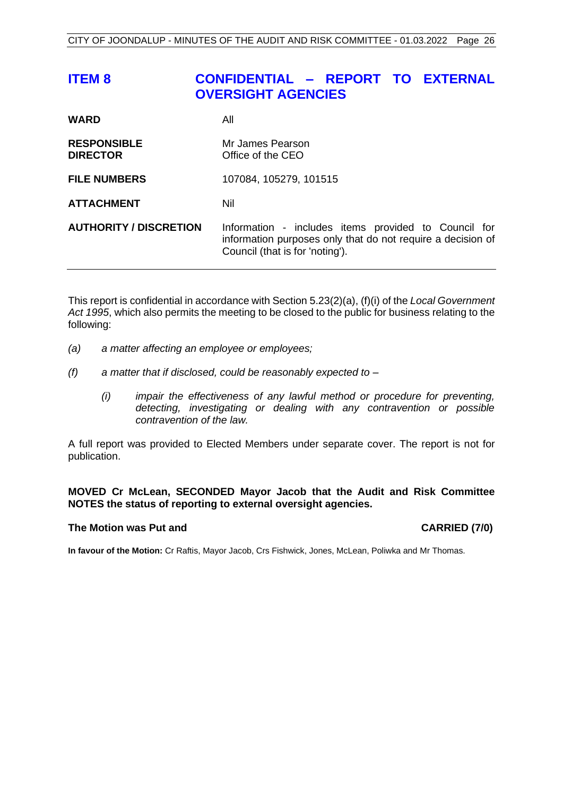# <span id="page-26-0"></span>**ITEM 8 CONFIDENTIAL – REPORT TO EXTERNAL OVERSIGHT AGENCIES**

| <b>WARD</b>                           | All                                                                                                                                                    |
|---------------------------------------|--------------------------------------------------------------------------------------------------------------------------------------------------------|
| <b>RESPONSIBLE</b><br><b>DIRECTOR</b> | Mr James Pearson<br>Office of the CEO                                                                                                                  |
| <b>FILE NUMBERS</b>                   | 107084, 105279, 101515                                                                                                                                 |
| <b>ATTACHMENT</b>                     | Nil                                                                                                                                                    |
| <b>AUTHORITY / DISCRETION</b>         | Information - includes items provided to Council for<br>information purposes only that do not require a decision of<br>Council (that is for 'noting'). |

This report is confidential in accordance with Section 5.23(2)(a), (f)(i) of the *Local Government Act 1995*, which also permits the meeting to be closed to the public for business relating to the following:

- *(a) a matter affecting an employee or employees;*
- *(f) a matter that if disclosed, could be reasonably expected to –*
	- *(i) impair the effectiveness of any lawful method or procedure for preventing, detecting, investigating or dealing with any contravention or possible contravention of the law.*

A full report was provided to Elected Members under separate cover. The report is not for publication.

#### **MOVED Cr McLean, SECONDED Mayor Jacob that the Audit and Risk Committee NOTES the status of reporting to external oversight agencies.**

#### **The Motion was Put and CARRIED (7/0)**

**In favour of the Motion:** Cr Raftis, Mayor Jacob, Crs Fishwick, Jones, McLean, Poliwka and Mr Thomas.